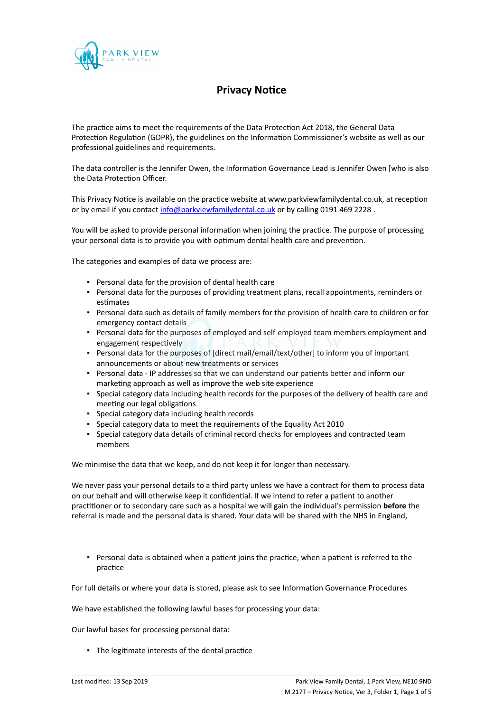

## **Privacy Notice**

The practice aims to meet the requirements of the Data Protection Act 2018, the General Data Protection Regulation (GDPR), the guidelines on the Information Commissioner's website as well as our professional guidelines and requirements.

The data controller is the Jennifer Owen, the Information Governance Lead is Jennifer Owen [who is also the Data Protection Officer.

This Privacy Notice is available on the practice website at www.parkviewfamilydental.co.uk, at reception or by email if you contact [info@parkviewfamilydental.co.uk](mailto:info@parkviewfamilydental.co.uk) or by calling 0191 469 2228.

You will be asked to provide personal information when joining the practice. The purpose of processing your personal data is to provide you with optimum dental health care and prevention.

The categories and examples of data we process are:

- Personal data for the provision of dental health care
- Personal data for the purposes of providing treatment plans, recall appointments, reminders or estimates
- Personal data such as details of family members for the provision of health care to children or for emergency contact details
- Personal data for the purposes of employed and self-employed team members employment and engagement respectively
- Personal data for the purposes of [direct mail/email/text/other] to inform you of important announcements or about new treatments or services
- Personal data IP addresses so that we can understand our patients better and inform our marketing approach as well as improve the web site experience
- Special category data including health records for the purposes of the delivery of health care and meeting our legal obligations
- Special category data including health records
- Special category data to meet the requirements of the Equality Act 2010
- Special category data details of criminal record checks for employees and contracted team members

We minimise the data that we keep, and do not keep it for longer than necessary.

We never pass your personal details to a third party unless we have a contract for them to process data on our behalf and will otherwise keep it confidential. If we intend to refer a patient to another practitioner or to secondary care such as a hospital we will gain the individual's permission **before** the referral is made and the personal data is shared. Your data will be shared with the NHS in England,

▪ Personal data is obtained when a patient joins the practice, when a patient is referred to the practice

For full details or where your data is stored, please ask to see Information Governance Procedures

We have established the following lawful bases for processing your data:

Our lawful bases for processing personal data:

▪ The legitimate interests of the dental practice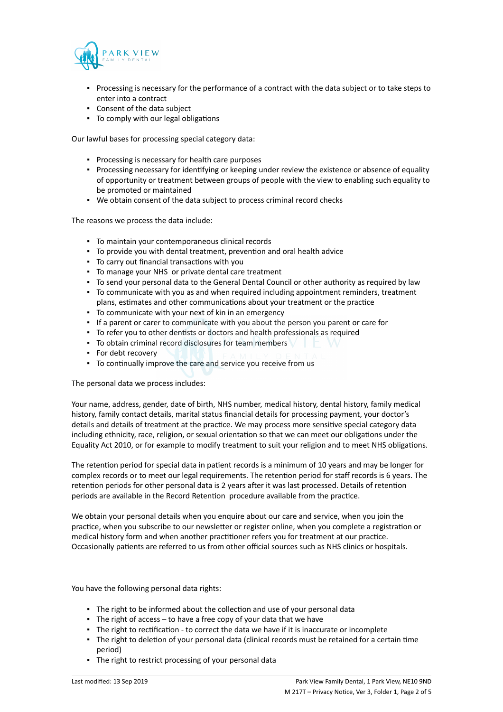

- Processing is necessary for the performance of a contract with the data subject or to take steps to enter into a contract
- Consent of the data subject
- To comply with our legal obligations

Our lawful bases for processing special category data:

- Processing is necessary for health care purposes
- Processing necessary for identifying or keeping under review the existence or absence of equality of opportunity or treatment between groups of people with the view to enabling such equality to be promoted or maintained
- We obtain consent of the data subject to process criminal record checks

The reasons we process the data include:

- To maintain your contemporaneous clinical records
- To provide you with dental treatment, prevention and oral health advice
- To carry out financial transactions with you
- To manage your NHS or private dental care treatment
- To send your personal data to the General Dental Council or other authority as required by law
- To communicate with you as and when required including appointment reminders, treatment plans, estimates and other communications about your treatment or the practice
- To communicate with your next of kin in an emergency
- If a parent or carer to communicate with you about the person you parent or care for
- To refer you to other dentists or doctors and health professionals as required
- **•** To obtain criminal record disclosures for team members
- For debt recovery
- To continually improve the care and service you receive from us

The personal data we process includes:

Your name, address, gender, date of birth, NHS number, medical history, dental history, family medical history, family contact details, marital status financial details for processing payment, your doctor's details and details of treatment at the practice. We may process more sensitive special category data including ethnicity, race, religion, or sexual orientation so that we can meet our obligations under the Equality Act 2010, or for example to modify treatment to suit your religion and to meet NHS obligations.

The retention period for special data in patient records is a minimum of 10 years and may be longer for complex records or to meet our legal requirements. The retention period for staff records is 6 years. The retention periods for other personal data is 2 years after it was last processed. Details of retention periods are available in the Record Retention procedure available from the practice.

We obtain your personal details when you enquire about our care and service, when you join the practice, when you subscribe to our newsletter or register online, when you complete a registration or medical history form and when another practitioner refers you for treatment at our practice. Occasionally patients are referred to us from other official sources such as NHS clinics or hospitals.

You have the following personal data rights:

- The right to be informed about the collection and use of your personal data
- $\blacksquare$  The right of access to have a free copy of your data that we have
- The right to rectification to correct the data we have if it is inaccurate or incomplete
- The right to deletion of your personal data (clinical records must be retained for a certain time period)
- **·** The right to restrict processing of your personal data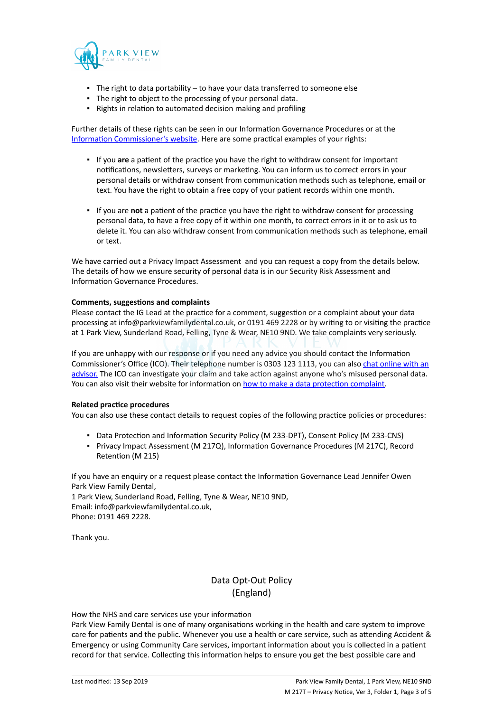

- The right to data portability to have your data transferred to someone else
- The right to object to the processing of your personal data.
- Rights in relation to automated decision making and profiling

Further details of these rights can be seen in our Information Governance Procedures or at the [Information Commissioner's website](https://ico.org.uk/for-organisations/guide-to-the-general-data-protection-regulation-gdpr/individual-rights/). Here are some practical examples of your rights:

- If you **are** a patient of the practice you have the right to withdraw consent for important notifications, newsletters, surveys or marketing. You can inform us to correct errors in your personal details or withdraw consent from communication methods such as telephone, email or text. You have the right to obtain a free copy of your patient records within one month.
- If you are **not** a patient of the practice you have the right to withdraw consent for processing personal data, to have a free copy of it within one month, to correct errors in it or to ask us to delete it. You can also withdraw consent from communication methods such as telephone, email or text.

We have carried out a Privacy Impact Assessment and you can request a copy from the details below. The details of how we ensure security of personal data is in our Security Risk Assessment and Information Governance Procedures.

## **Comments, suggestions and complaints**

Please contact the IG Lead at the practice for a comment, suggestion or a complaint about your data processing at info@parkviewfamilydental.co.uk, or 0191 469 2228 or by writing to or visiting the practice at 1 Park View, Sunderland Road, Felling, Tyne & Wear, NE10 9ND. We take complaints very seriously.

If you are unhappy with our response or if you need any advice you should contact the Information Commissioner's Office (ICO). Their telephone number is 0303 123 1113, you can also [chat online with an](https://ico.org.uk/global/contact-us/live-chat/) [advisor.](https://ico.org.uk/global/contact-us/live-chat/) The ICO can investigate your claim and take action against anyone who's misused personal data. You can also visit their website for information on [how to make a data protection complaint](http://www.ico.org.uk/complaints).

## **Related practice procedures**

You can also use these contact details to request copies of the following practice policies or procedures:

- Data Protection and Information Security Policy (M 233-DPT), Consent Policy (M 233-CNS)
- Privacy Impact Assessment (M 217Q), Information Governance Procedures (M 217C), Record Retention (M 215)

If you have an enquiry or a request please contact the Information Governance Lead Jennifer Owen Park View Family Dental, 1 Park View, Sunderland Road, Felling, Tyne & Wear, NE10 9ND, Email: info@parkviewfamilydental.co.uk,

Phone: 0191 469 2228.

Thank you.

## Data Opt-Out Policy (England)

How the NHS and care services use your information

Park View Family Dental is one of many organisations working in the health and care system to improve care for patients and the public. Whenever you use a health or care service, such as attending Accident & Emergency or using Community Care services, important information about you is collected in a patient record for that service. Collecting this information helps to ensure you get the best possible care and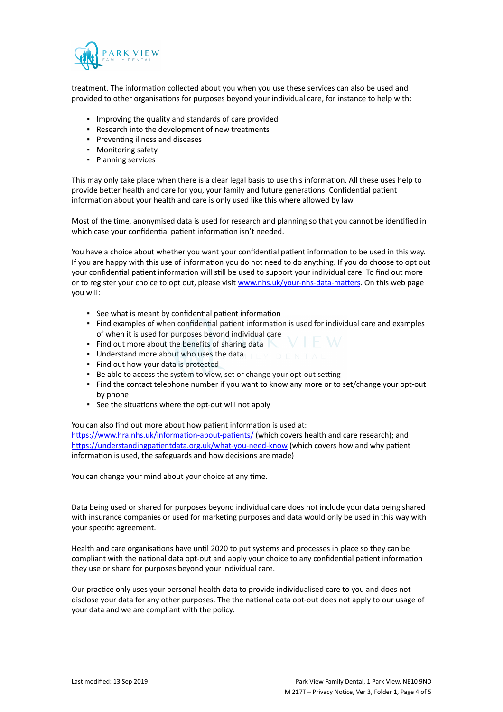

treatment. The information collected about you when you use these services can also be used and provided to other organisations for purposes beyond your individual care, for instance to help with:

- Improving the quality and standards of care provided
- Research into the development of new treatments
- Preventing illness and diseases
- Monitoring safety
- Planning services

This may only take place when there is a clear legal basis to use this information. All these uses help to provide better health and care for you, your family and future generations. Confidential patient information about your health and care is only used like this where allowed by law.

Most of the time, anonymised data is used for research and planning so that you cannot be identified in which case your confidential patient information isn't needed.

You have a choice about whether you want your confidential patient information to be used in this way. If you are happy with this use of information you do not need to do anything. If you do choose to opt out your confidential patient information will still be used to support your individual care. To find out more or to register your choice to opt out, please visit [www.nhs.uk/your-nhs-data-matters](http://www.nhs.uk/your-nhs-data-matters). On this web page you will:

- See what is meant by confidential patient information
- Find examples of when confidential patient information is used for individual care and examples of when it is used for purposes beyond individual care
- **Find out more about the benefits of sharing data**
- Understand more about who uses the data
- Find out how your data is protected
- Be able to access the system to view, set or change your opt-out setting
- Find the contact telephone number if you want to know any more or to set/change your opt-out by phone
- See the situations where the opt-out will not apply

You can also find out more about how patient information is used at: [https://www.hra.nhs.uk/information-about-patients/](https://www.hra.nhs.uk/information-about-patients/%20) (which covers health and care research); and <https://understandingpatientdata.org.uk/what-you-need-know> (which covers how and why patient information is used, the safeguards and how decisions are made)

You can change your mind about your choice at any time.

Data being used or shared for purposes beyond individual care does not include your data being shared with insurance companies or used for marketing purposes and data would only be used in this way with your specific agreement.

Health and care organisations have until 2020 to put systems and processes in place so they can be compliant with the national data opt-out and apply your choice to any confidential patient information they use or share for purposes beyond your individual care.

Our practice only uses your personal health data to provide individualised care to you and does not disclose your data for any other purposes. The the national data opt-out does not apply to our usage of your data and we are compliant with the policy.